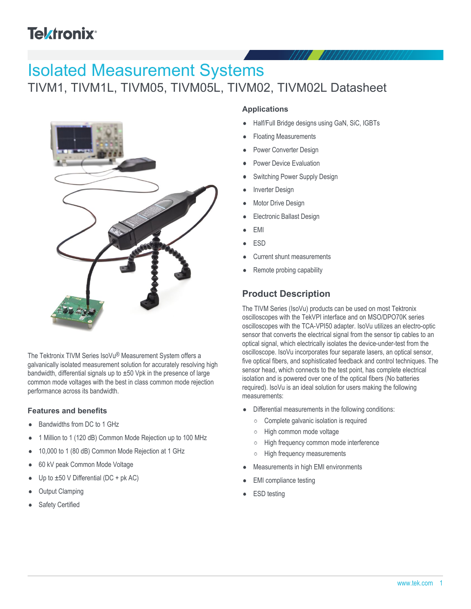# **Tektronix®**

# Isolated Measurement Systems

## TIVM1, TIVM1L, TIVM05, TIVM05L, TIVM02, TIVM02L Datasheet



The Tektronix TIVM Series IsoVu® Measurement System offers a galvanically isolated measurement solution for accurately resolving high bandwidth, differential signals up to  $\pm 50$  Vpk in the presence of large common mode voltages with the best in class common mode rejection performance across its bandwidth.

#### **Features and benefits**

- Bandwidths from DC to 1 GHz
- 1 Million to 1 (120 dB) Common Mode Rejection up to 100 MHz
- 10,000 to 1 (80 dB) Common Mode Rejection at 1 GHz
- 60 kV peak Common Mode Voltage
- Up to  $\pm 50$  V Differential (DC + pk AC)
- Output Clamping
- Safety Certified

#### **Applications**

- Half/Full Bridge designs using GaN, SiC, IGBTs
- Floating Measurements
- Power Converter Design
- Power Device Evaluation
- Switching Power Supply Design
- Inverter Design
- Motor Drive Design
- Electronic Ballast Design
- EMI
- ESD
- Current shunt measurements
- Remote probing capability

## **Product Description**

The TIVM Series (IsoVu) products can be used on most Tektronix oscilloscopes with the TekVPI interface and on MSO/DPO70K series oscilloscopes with the TCA-VPI50 adapter. IsoVu utilizes an electro-optic sensor that converts the electrical signal from the sensor tip cables to an optical signal, which electrically isolates the device-under-test from the oscilloscope. IsoVu incorporates four separate lasers, an optical sensor, five optical fibers, and sophisticated feedback and control techniques. The sensor head, which connects to the test point, has complete electrical isolation and is powered over one of the optical fibers (No batteries required). IsoVu is an ideal solution for users making the following measurements:

- Differential measurements in the following conditions:
	- $\circ$ Complete galvanic isolation is required
	- High common mode voltage  $\circ$
	- $\circ$ High frequency common mode interference
	- High frequency measurements  $\circ$
- Measurements in high EMI environments
- EMI compliance testing
- ESD testing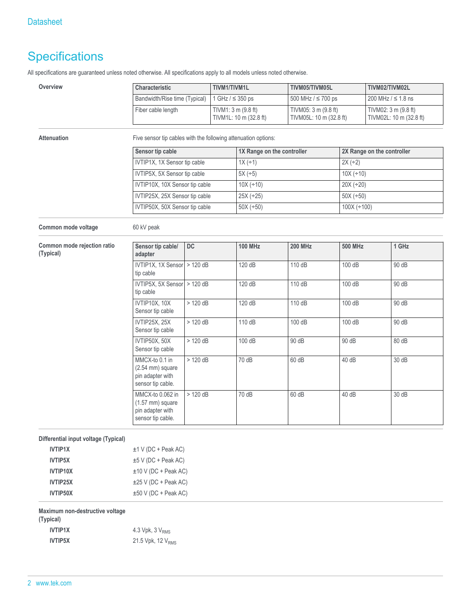## **Specifications**

All specifications are guaranteed unless noted otherwise. All specifications apply to all models unless noted otherwise.

| Overview                                     | Characteristic                                                                  |                              | TIVM1/TIVM1L               |                         | TIVM05/TIVM05L                                  |                            | TIVM02/TIVM02L                                  |  |
|----------------------------------------------|---------------------------------------------------------------------------------|------------------------------|----------------------------|-------------------------|-------------------------------------------------|----------------------------|-------------------------------------------------|--|
|                                              | Bandwidth/Rise time (Typical)                                                   |                              |                            | 1 GHz $/$ $\leq$ 350 ps | 500 MHz / ≤ 700 ps                              |                            | 200 MHz $/ \le 1.8$ ns                          |  |
|                                              | Fiber cable length                                                              |                              | TIVM1: 3 m (9.8 ft)        | TIVM1L: 10 m (32.8 ft)  | TIVM05: 3 m (9.8 ft)<br>TIVM05L: 10 m (32.8 ft) |                            | TIVM02: 3 m (9.8 ft)<br>TIVM02L: 10 m (32.8 ft) |  |
| <b>Attenuation</b>                           | Five sensor tip cables with the following attenuation options:                  |                              |                            |                         |                                                 |                            |                                                 |  |
|                                              | Sensor tip cable                                                                |                              | 1X Range on the controller |                         |                                                 | 2X Range on the controller |                                                 |  |
|                                              |                                                                                 | IVTIP1X, 1X Sensor tip cable |                            | $1X (+1)$               |                                                 | $2X (+2)$                  |                                                 |  |
|                                              | IVTIP5X, 5X Sensor tip cable                                                    |                              |                            | $5X (+5)$               |                                                 |                            | $10X (+10)$                                     |  |
|                                              | IVTIP10X, 10X Sensor tip cable                                                  |                              |                            | $10X (+10)$             |                                                 |                            | $20X (+20)$                                     |  |
|                                              | IVTIP25X, 25X Sensor tip cable                                                  |                              |                            | $25X (+25)$             |                                                 |                            | $50X (+50)$                                     |  |
|                                              | IVTIP50X, 50X Sensor tip cable                                                  |                              |                            | $50X (+50)$             |                                                 |                            | $100X (+100)$                                   |  |
| Common mode voltage                          | 60 kV peak                                                                      |                              |                            |                         |                                                 |                            |                                                 |  |
| Common mode rejection ratio<br>(Typical)     | Sensor tip cable/<br>adapter                                                    | DC                           |                            | <b>100 MHz</b>          | <b>200 MHz</b>                                  | <b>500 MHz</b>             | 1 GHz                                           |  |
|                                              | IVTIP1X, 1X Sensor $>$ 120 dB<br>tip cable                                      |                              |                            | 120 dB                  | 110 dB                                          | 100 dB                     | 90 dB                                           |  |
|                                              | IVTIP5X, 5X Sensor $>$ 120 dB<br>tip cable                                      |                              |                            | 120 dB                  | 110 dB                                          | 100 dB                     | 90 dB                                           |  |
|                                              | IVTIP10X, 10X<br>Sensor tip cable                                               | $>120$ dB                    |                            | 120 dB                  | 110 dB                                          | 100 dB                     | 90 dB                                           |  |
|                                              | IVTIP25X, 25X<br>Sensor tip cable                                               | $>120$ dB                    |                            | 110 dB                  | 100 dB                                          | 100 dB                     | 90 dB                                           |  |
|                                              | IVTIP50X, 50X<br>Sensor tip cable                                               | $>120$ dB                    |                            | 100 dB                  | 90 dB                                           | 90 dB                      | 80 dB                                           |  |
|                                              | MMCX-to 0.1 in<br>(2.54 mm) square<br>pin adapter with<br>sensor tip cable.     | $>120$ dB                    |                            | 70 dB                   | 60 dB                                           | 40 dB                      | 30 dB                                           |  |
|                                              | MMCX-to 0.062 in<br>$(1.57$ mm) square<br>pin adapter with<br>sensor tip cable. | $>120$ dB                    |                            | 70 dB                   | 60 dB                                           | 40 dB                      | 30 dB                                           |  |
| Differential input voltage (Typical)         |                                                                                 |                              |                            |                         |                                                 |                            |                                                 |  |
| <b>IVTIP1X</b>                               | $±1$ V (DC + Peak AC)                                                           |                              |                            |                         |                                                 |                            |                                                 |  |
| <b>IVTIP5X</b>                               | ±5 V (DC + Peak AC)                                                             |                              |                            |                         |                                                 |                            |                                                 |  |
| IVTIP10X                                     | ±10 V (DC + Peak AC)                                                            |                              |                            |                         |                                                 |                            |                                                 |  |
| IVTIP25X                                     | ±25 V (DC + Peak AC)                                                            |                              |                            |                         |                                                 |                            |                                                 |  |
| IVTIP50X                                     | ±50 V (DC + Peak AC)                                                            |                              |                            |                         |                                                 |                            |                                                 |  |
| Maximum non-destructive voltage<br>(Typical) |                                                                                 |                              |                            |                         |                                                 |                            |                                                 |  |

**IVTIP1X** 4.3 Vpk, 3 V<sub>RMS</sub>

**IVTIP5X** 21.5 Vpk, 12 V<sub>RMS</sub>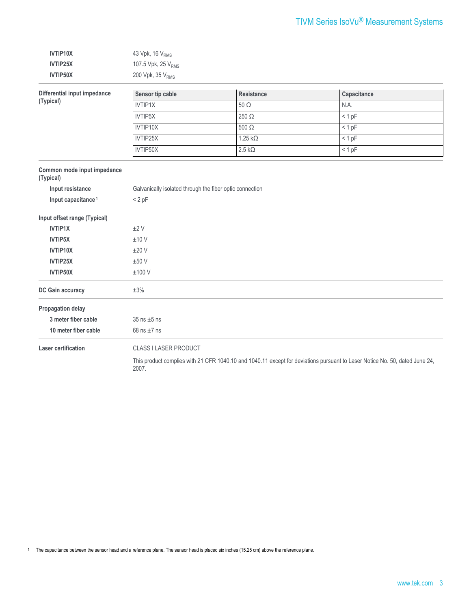| IVTIP10X        | 43 Vpk, 16 $VRMS$              |
|-----------------|--------------------------------|
| <b>IVTIP25X</b> | 107.5 Vpk, 25 V <sub>RMS</sub> |
| IVTIP50X        | 200 Vpk, $35VRMS$              |

| Differential input impedance<br>(Typical) | Sensor tip cable                                         | <b>Resistance</b>                                                                                                           | Capacitance |  |
|-------------------------------------------|----------------------------------------------------------|-----------------------------------------------------------------------------------------------------------------------------|-------------|--|
|                                           | <b>IVTIP1X</b>                                           | $50\ \Omega$                                                                                                                | N.A.        |  |
|                                           | IVTIP5X                                                  | 250 $\Omega$                                                                                                                | $< 1$ pF    |  |
|                                           | IVTIP10X                                                 | 500 $\Omega$                                                                                                                | $< 1$ pF    |  |
|                                           | IVTIP25X                                                 | $1.25 k\Omega$                                                                                                              | < 1 pF      |  |
|                                           | IVTIP50X                                                 | $2.5 k\Omega$                                                                                                               | < 1 pF      |  |
| Common mode input impedance<br>(Typical)  |                                                          |                                                                                                                             |             |  |
| Input resistance                          | Galvanically isolated through the fiber optic connection |                                                                                                                             |             |  |
| Input capacitance <sup>1</sup>            | $< 2$ pF                                                 |                                                                                                                             |             |  |
| Input offset range (Typical)              |                                                          |                                                                                                                             |             |  |
| <b>IVTIP1X</b>                            | ±2V                                                      |                                                                                                                             |             |  |
| <b>IVTIP5X</b>                            | ±10V                                                     |                                                                                                                             |             |  |
| IVTIP10X                                  | ±20V                                                     |                                                                                                                             |             |  |
| IVTIP25X                                  | ±50V                                                     |                                                                                                                             |             |  |
| IVTIP50X                                  | ±100V                                                    |                                                                                                                             |             |  |
| DC Gain accuracy                          | $\pm 3\%$                                                |                                                                                                                             |             |  |
| Propagation delay                         |                                                          |                                                                                                                             |             |  |
| 3 meter fiber cable                       | $35$ ns $\pm 5$ ns                                       |                                                                                                                             |             |  |
| 10 meter fiber cable                      | 68 ns $\pm$ 7 ns                                         |                                                                                                                             |             |  |
| <b>Laser certification</b>                | <b>CLASS I LASER PRODUCT</b>                             |                                                                                                                             |             |  |
|                                           | 2007.                                                    | This product complies with 21 CFR 1040.10 and 1040.11 except for deviations pursuant to Laser Notice No. 50, dated June 24, |             |  |

<sup>1</sup> The capacitance between the sensor head and a reference plane. The sensor head is placed six inches (15.25 cm) above the reference plane.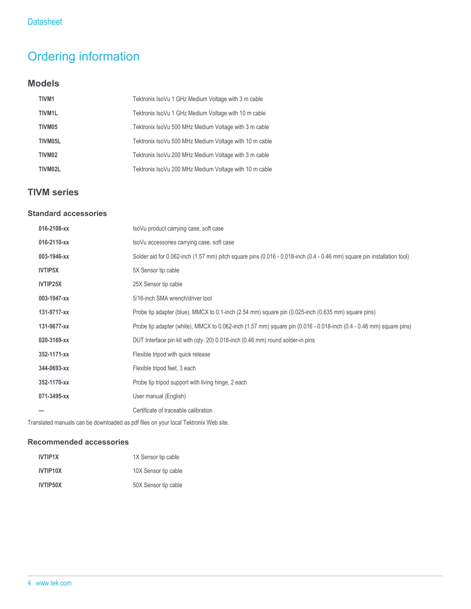## Ordering information

### **Models**

| <b>TIVM1</b>        | Tektronix IsoVu 1 GHz Medium Voltage with 3 m cable    |
|---------------------|--------------------------------------------------------|
| TIVM <sub>1</sub> L | Tektronix IsoVu 1 GHz Medium Voltage with 10 m cable   |
| TIVM05              | Tektronix IsoVu 500 MHz Medium Voltage with 3 m cable  |
| TIVM05L             | Tektronix IsoVu 500 MHz Medium Voltage with 10 m cable |
| TIVM <sub>02</sub>  | Tektronix IsoVu 200 MHz Medium Voltage with 3 m cable  |
| TIVM02L             | Tektronix IsoVu 200 MHz Medium Voltage with 10 m cable |

## **TIVM series**

### **Standard accessories**

| 016-2108-xx    | IsoVu product carrying case, soft case                                                                                  |
|----------------|-------------------------------------------------------------------------------------------------------------------------|
| 016-2110-xx    | IsoVu accessories carrying case, soft case                                                                              |
| 003-1946-xx    | Solder aid for 0.062-inch (1.57 mm) pitch square pins (0.016 - 0.018-inch (0.4 - 0.46 mm) square pin installation tool) |
| <b>IVTIP5X</b> | 5X Sensor tip cable                                                                                                     |
| IVTIP25X       | 25X Sensor tip cable                                                                                                    |
| 003-1947-xx    | 5/16-inch SMA wrench/driver tool                                                                                        |
| 131-9717-xx    | Probe tip adapter (blue), MMCX to 0.1-inch (2.54 mm) square pin (0.025-inch (0.635 mm) square pins)                     |
| 131-9677-xx    | Probe tip adapter (white), MMCX to 0.062-inch (1.57 mm) square pin (0.016 - 0.018-inch (0.4 - 0.46 mm) square pins)     |
| 020-3169-xx    | DUT Interface pin kit with (qty. 20) 0.018-inch (0.46 mm) round solder-in pins                                          |
| 352-1171-xx    | Flexible tripod with quick release                                                                                      |
| 344-0693-xx    | Flexible tripod feet, 3 each                                                                                            |
| 352-1170-xx    | Probe tip tripod support with living hinge, 2 each                                                                      |
| 071-3495-xx    | User manual (English)                                                                                                   |
|                | Certificate of traceable calibration                                                                                    |

Translated manuals can be downloaded as pdf files on your local Tektronix Web site.

### **Recommended accessories**

| <b>IVTIP1X</b> | 1X Sensor tip cable  |
|----------------|----------------------|
| IVTIP10X       | 10X Sensor tip cable |
| IVTIP50X       | 50X Sensor tip cable |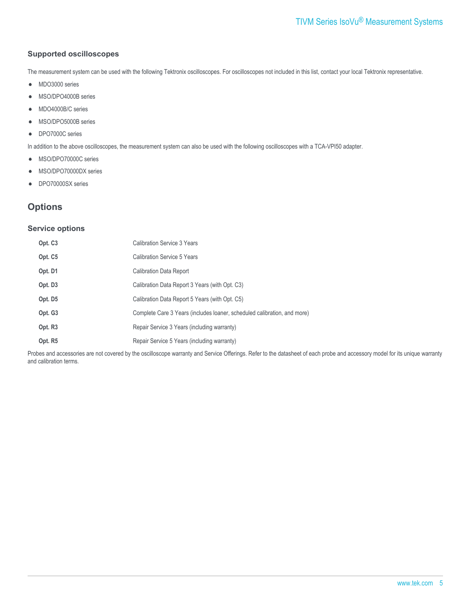#### **Supported oscilloscopes**

The measurement system can be used with the following Tektronix oscilloscopes. For oscilloscopes not included in this list, contact your local Tektronix representative.

- MDO3000 series  $\bullet$
- MSO/DPO4000B series  $\bullet$
- MDO4000B/C series  $\bullet$
- MSO/DPO5000B series  $\bullet$
- DPO7000C series  $\bullet$

In addition to the above oscilloscopes, the measurement system can also be used with the following oscilloscopes with a TCA-VPI50 adapter.

- MSO/DPO70000C series  $\bullet$
- MSO/DPO70000DX series  $\bullet$
- DPO70000SX series  $\bullet$

### **Options**

#### **Service options**

| Opt. C <sub>3</sub> | <b>Calibration Service 3 Years</b>                                       |
|---------------------|--------------------------------------------------------------------------|
| Opt. C5             | Calibration Service 5 Years                                              |
| Opt. D1             | <b>Calibration Data Report</b>                                           |
| Opt. D3             | Calibration Data Report 3 Years (with Opt. C3)                           |
| Opt. D <sub>5</sub> | Calibration Data Report 5 Years (with Opt. C5)                           |
| Opt. G <sub>3</sub> | Complete Care 3 Years (includes loaner, scheduled calibration, and more) |
| Opt. R <sub>3</sub> | Repair Service 3 Years (including warranty)                              |
| Opt. R5             | Repair Service 5 Years (including warranty)                              |

Probes and accessories are not covered by the oscilloscope warranty and Service Offerings. Refer to the datasheet of each probe and accessory model for its unique warranty and calibration terms.